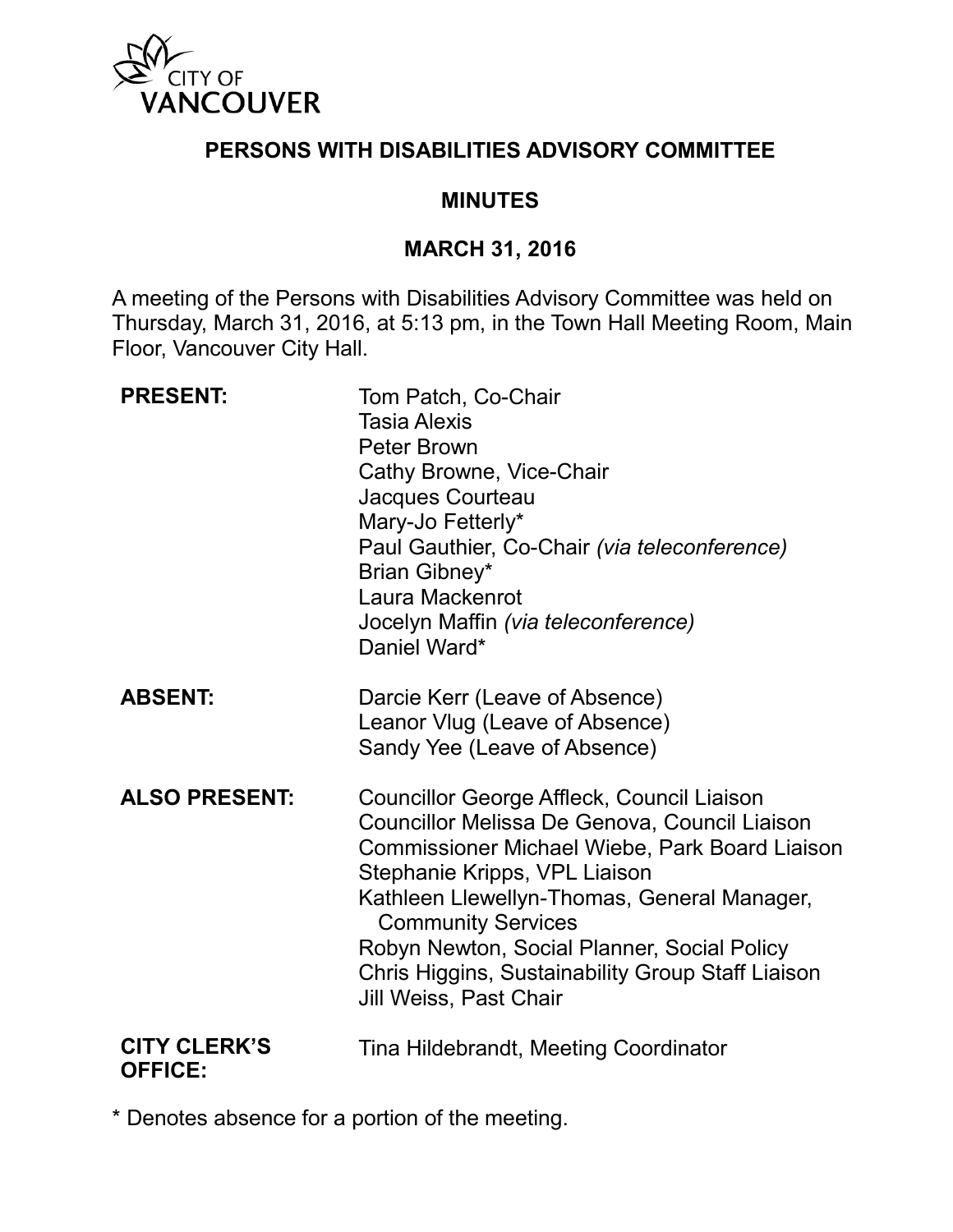

### **PERSONS WITH DISABILITIES ADVISORY COMMITTEE**

### **MINUTES**

#### **MARCH 31, 2016**

A meeting of the Persons with Disabilities Advisory Committee was held on Thursday, March 31, 2016, at 5:13 pm, in the Town Hall Meeting Room, Main Floor, Vancouver City Hall.

| <b>PRESENT:</b>                       | Tom Patch, Co-Chair<br><b>Tasia Alexis</b><br><b>Peter Brown</b><br>Cathy Browne, Vice-Chair<br>Jacques Courteau<br>Mary-Jo Fetterly*<br>Paul Gauthier, Co-Chair (via teleconference)<br>Brian Gibney*<br>Laura Mackenrot<br>Jocelyn Maffin (via teleconference)<br>Daniel Ward*                                                                                                                |
|---------------------------------------|-------------------------------------------------------------------------------------------------------------------------------------------------------------------------------------------------------------------------------------------------------------------------------------------------------------------------------------------------------------------------------------------------|
| <b>ABSENT:</b>                        | Darcie Kerr (Leave of Absence)<br>Leanor Vlug (Leave of Absence)<br>Sandy Yee (Leave of Absence)                                                                                                                                                                                                                                                                                                |
| <b>ALSO PRESENT:</b>                  | <b>Councillor George Affleck, Council Liaison</b><br>Councillor Melissa De Genova, Council Liaison<br>Commissioner Michael Wiebe, Park Board Liaison<br>Stephanie Kripps, VPL Liaison<br>Kathleen Llewellyn-Thomas, General Manager,<br><b>Community Services</b><br>Robyn Newton, Social Planner, Social Policy<br>Chris Higgins, Sustainability Group Staff Liaison<br>Jill Weiss, Past Chair |
| <b>CITY CLERK'S</b><br><b>OFFICE:</b> | Tina Hildebrandt, Meeting Coordinator                                                                                                                                                                                                                                                                                                                                                           |

\* Denotes absence for a portion of the meeting.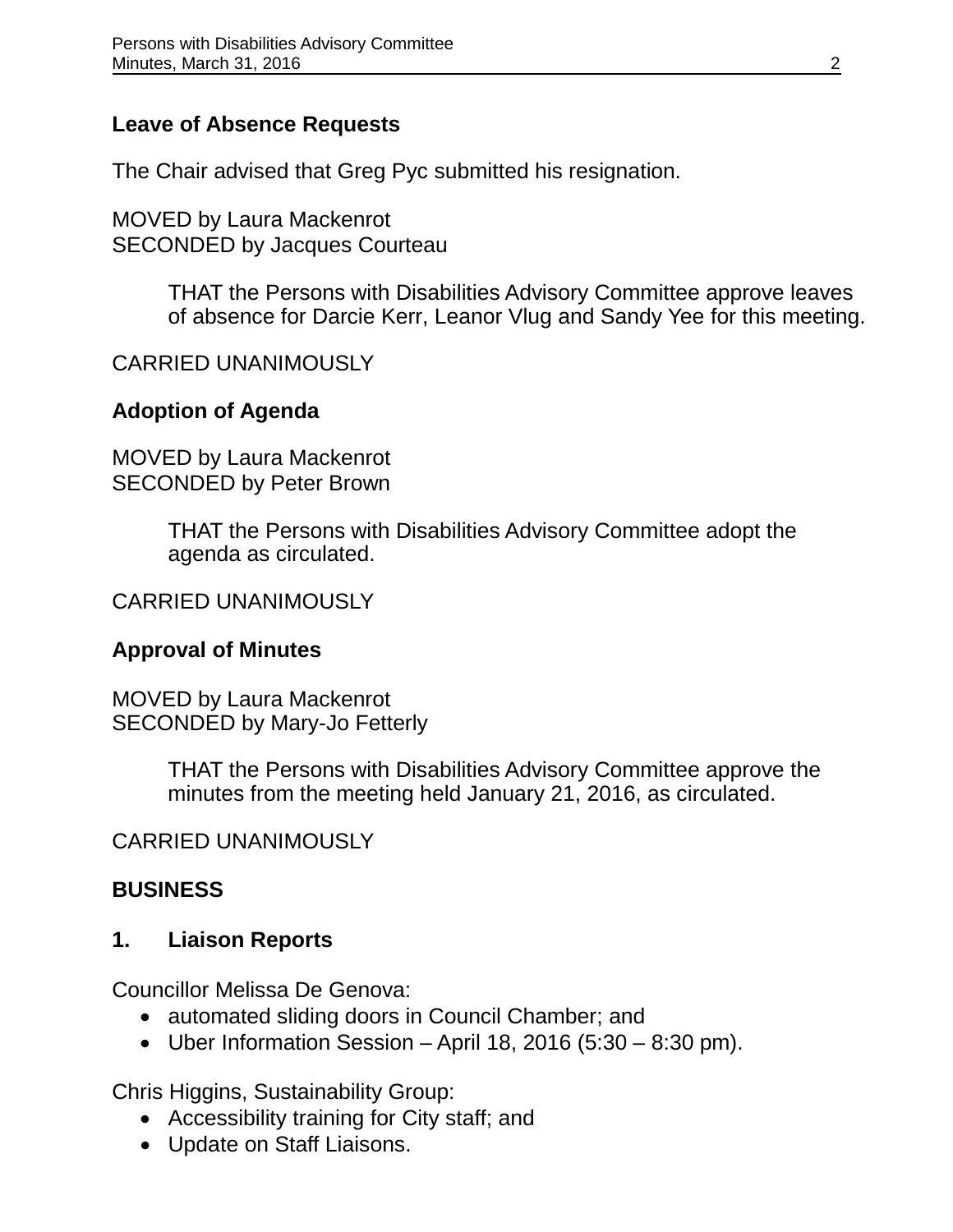### **Leave of Absence Requests**

The Chair advised that Greg Pyc submitted his resignation.

MOVED by Laura Mackenrot SECONDED by Jacques Courteau

> THAT the Persons with Disabilities Advisory Committee approve leaves of absence for Darcie Kerr, Leanor Vlug and Sandy Yee for this meeting.

### CARRIED UNANIMOUSLY

## **Adoption of Agenda**

MOVED by Laura Mackenrot SECONDED by Peter Brown

> THAT the Persons with Disabilities Advisory Committee adopt the agenda as circulated.

### CARRIED UNANIMOUSLY

#### **Approval of Minutes**

MOVED by Laura Mackenrot SECONDED by Mary-Jo Fetterly

> THAT the Persons with Disabilities Advisory Committee approve the minutes from the meeting held January 21, 2016, as circulated.

#### CARRIED UNANIMOUSLY

#### **BUSINESS**

#### **1. Liaison Reports**

Councillor Melissa De Genova:

- automated sliding doors in Council Chamber; and
- Uber Information Session April 18, 2016 (5:30 8:30 pm).

Chris Higgins, Sustainability Group:

- Accessibility training for City staff; and
- Update on Staff Liaisons.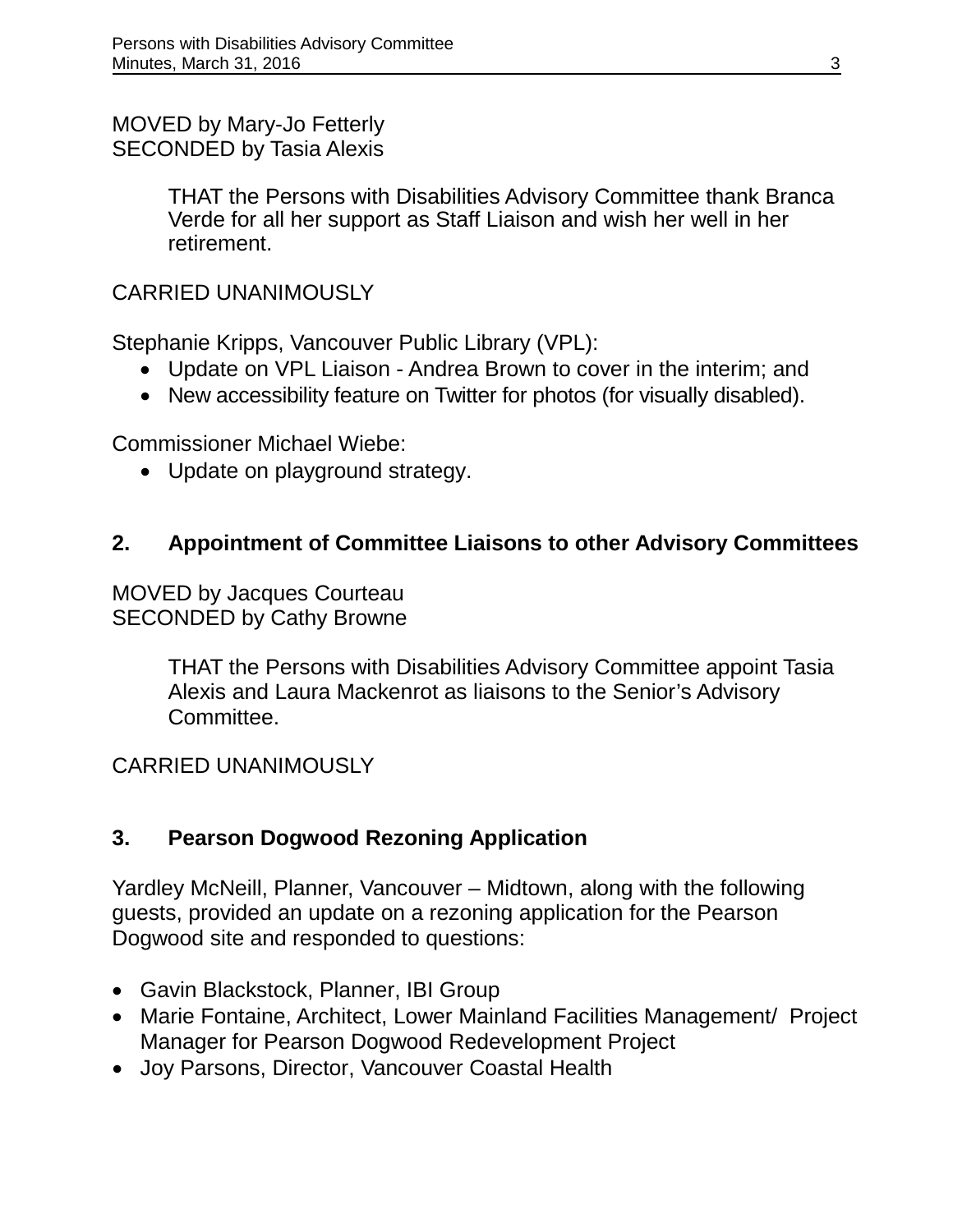MOVED by Mary-Jo Fetterly SECONDED by Tasia Alexis

> THAT the Persons with Disabilities Advisory Committee thank Branca Verde for all her support as Staff Liaison and wish her well in her retirement.

### CARRIED UNANIMOUSLY

Stephanie Kripps, Vancouver Public Library (VPL):

- Update on VPL Liaison Andrea Brown to cover in the interim; and
- New accessibility feature on Twitter for photos (for visually disabled).

Commissioner Michael Wiebe:

• Update on playground strategy.

## **2. Appointment of Committee Liaisons to other Advisory Committees**

MOVED by Jacques Courteau SECONDED by Cathy Browne

> THAT the Persons with Disabilities Advisory Committee appoint Tasia Alexis and Laura Mackenrot as liaisons to the Senior's Advisory Committee.

CARRIED UNANIMOUSLY

## **3. Pearson Dogwood Rezoning Application**

Yardley McNeill, Planner, Vancouver – Midtown, along with the following guests, provided an update on a rezoning application for the Pearson Dogwood site and responded to questions:

- Gavin Blackstock, Planner, IBI Group
- Marie Fontaine, Architect, Lower Mainland Facilities Management/ Project Manager for Pearson Dogwood Redevelopment Project
- Joy Parsons, Director, Vancouver Coastal Health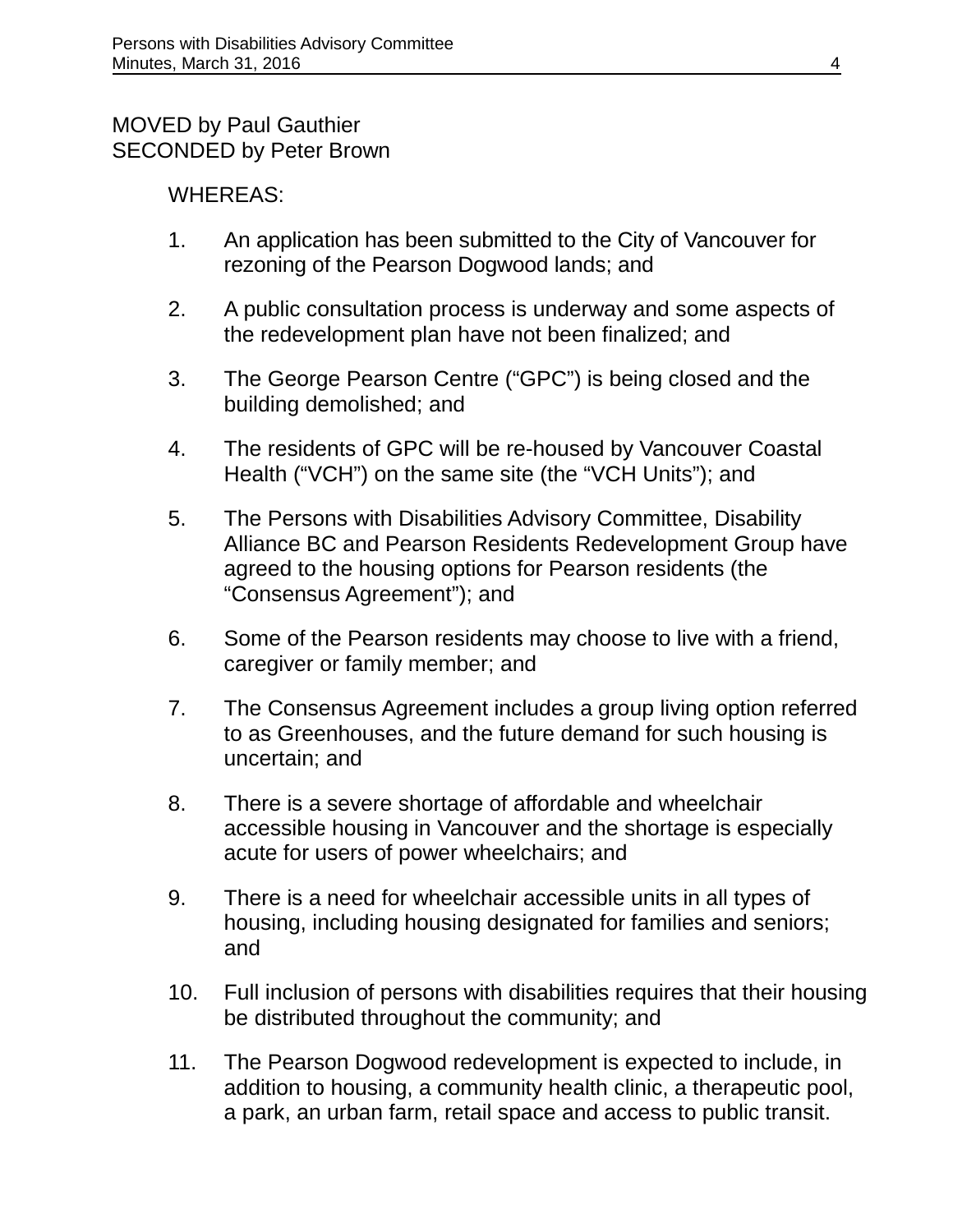#### MOVED by Paul Gauthier SECONDED by Peter Brown

### WHEREAS:

- 1. An application has been submitted to the City of Vancouver for rezoning of the Pearson Dogwood lands; and
- 2. A public consultation process is underway and some aspects of the redevelopment plan have not been finalized; and
- 3. The George Pearson Centre ("GPC") is being closed and the building demolished; and
- 4. The residents of GPC will be re-housed by Vancouver Coastal Health ("VCH") on the same site (the "VCH Units"); and
- 5. The Persons with Disabilities Advisory Committee, Disability Alliance BC and Pearson Residents Redevelopment Group have agreed to the housing options for Pearson residents (the "Consensus Agreement"); and
- 6. Some of the Pearson residents may choose to live with a friend, caregiver or family member; and
- 7. The Consensus Agreement includes a group living option referred to as Greenhouses, and the future demand for such housing is uncertain; and
- 8. There is a severe shortage of affordable and wheelchair accessible housing in Vancouver and the shortage is especially acute for users of power wheelchairs; and
- 9. There is a need for wheelchair accessible units in all types of housing, including housing designated for families and seniors; and
- 10. Full inclusion of persons with disabilities requires that their housing be distributed throughout the community; and
- 11. The Pearson Dogwood redevelopment is expected to include, in addition to housing, a community health clinic, a therapeutic pool, a park, an urban farm, retail space and access to public transit.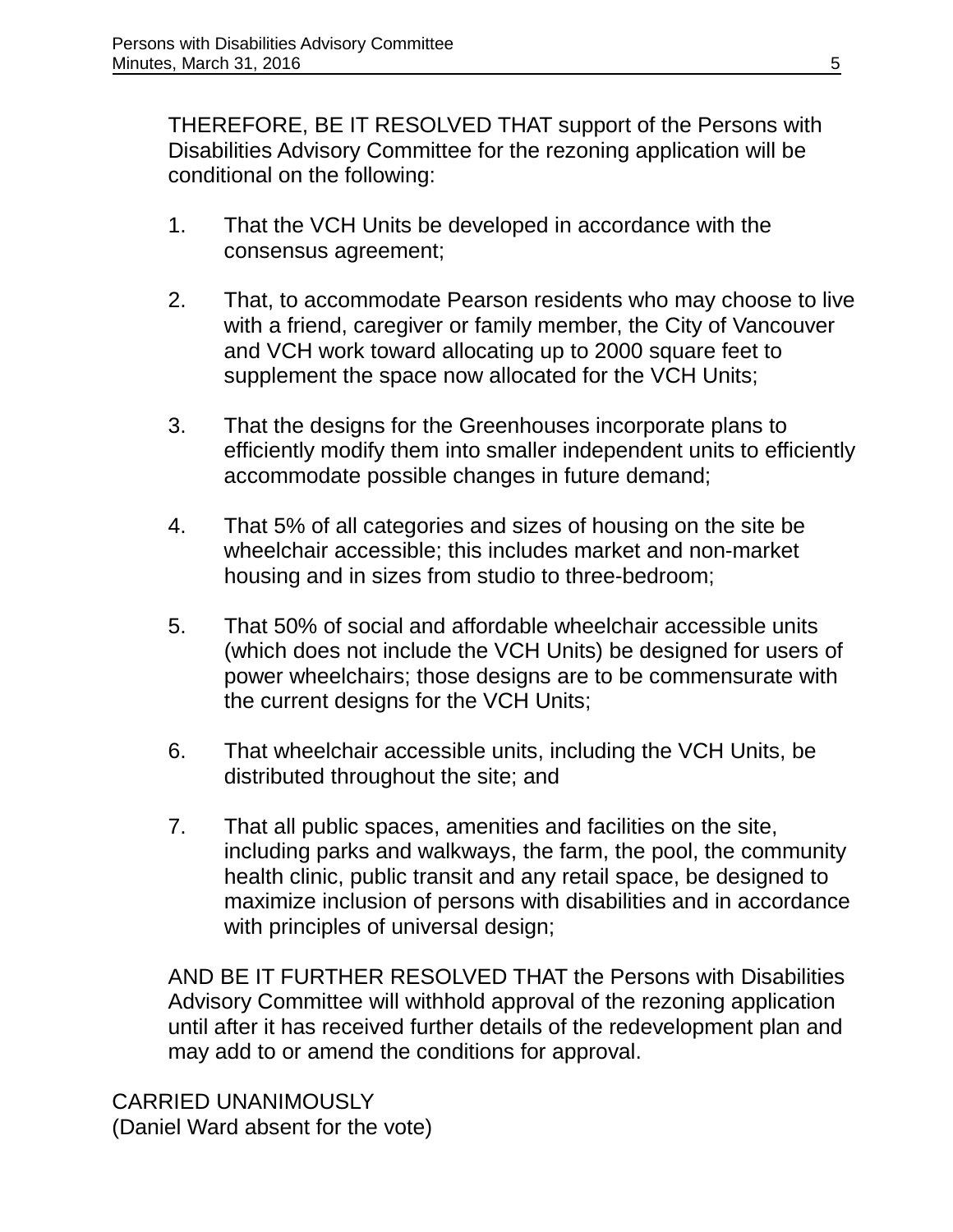THEREFORE, BE IT RESOLVED THAT support of the Persons with Disabilities Advisory Committee for the rezoning application will be conditional on the following:

- 1. That the VCH Units be developed in accordance with the consensus agreement;
- 2. That, to accommodate Pearson residents who may choose to live with a friend, caregiver or family member, the City of Vancouver and VCH work toward allocating up to 2000 square feet to supplement the space now allocated for the VCH Units;
- 3. That the designs for the Greenhouses incorporate plans to efficiently modify them into smaller independent units to efficiently accommodate possible changes in future demand;
- 4. That 5% of all categories and sizes of housing on the site be wheelchair accessible; this includes market and non-market housing and in sizes from studio to three-bedroom;
- 5. That 50% of social and affordable wheelchair accessible units (which does not include the VCH Units) be designed for users of power wheelchairs; those designs are to be commensurate with the current designs for the VCH Units;
- 6. That wheelchair accessible units, including the VCH Units, be distributed throughout the site; and
- 7. That all public spaces, amenities and facilities on the site, including parks and walkways, the farm, the pool, the community health clinic, public transit and any retail space, be designed to maximize inclusion of persons with disabilities and in accordance with principles of universal design;

AND BE IT FURTHER RESOLVED THAT the Persons with Disabilities Advisory Committee will withhold approval of the rezoning application until after it has received further details of the redevelopment plan and may add to or amend the conditions for approval.

CARRIED UNANIMOUSLY (Daniel Ward absent for the vote)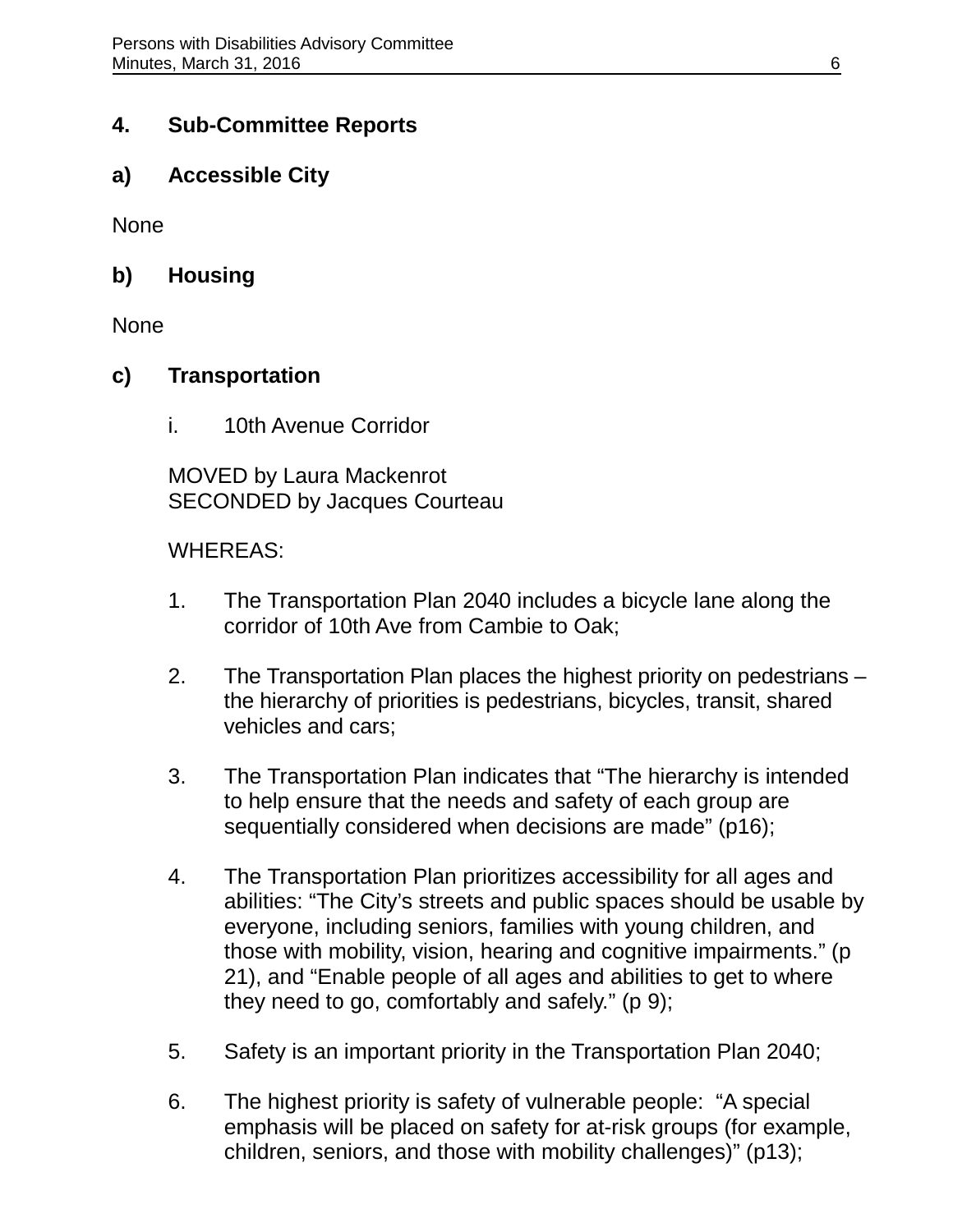### **4. Sub-Committee Reports**

**a) Accessible City**

None

**b) Housing**

None

#### **c) Transportation**

i. 10th Avenue Corridor

MOVED by Laura Mackenrot SECONDED by Jacques Courteau

#### WHEREAS:

- 1. The Transportation Plan 2040 includes a bicycle lane along the corridor of 10th Ave from Cambie to Oak;
- 2. The Transportation Plan places the highest priority on pedestrians the hierarchy of priorities is pedestrians, bicycles, transit, shared vehicles and cars;
- 3. The Transportation Plan indicates that "The hierarchy is intended to help ensure that the needs and safety of each group are sequentially considered when decisions are made" (p16);
- 4. The Transportation Plan prioritizes accessibility for all ages and abilities: "The City's streets and public spaces should be usable by everyone, including seniors, families with young children, and those with mobility, vision, hearing and cognitive impairments." (p 21), and "Enable people of all ages and abilities to get to where they need to go, comfortably and safely." (p 9);
- 5. Safety is an important priority in the Transportation Plan 2040;
- 6. The highest priority is safety of vulnerable people: "A special emphasis will be placed on safety for at-risk groups (for example, children, seniors, and those with mobility challenges)" (p13);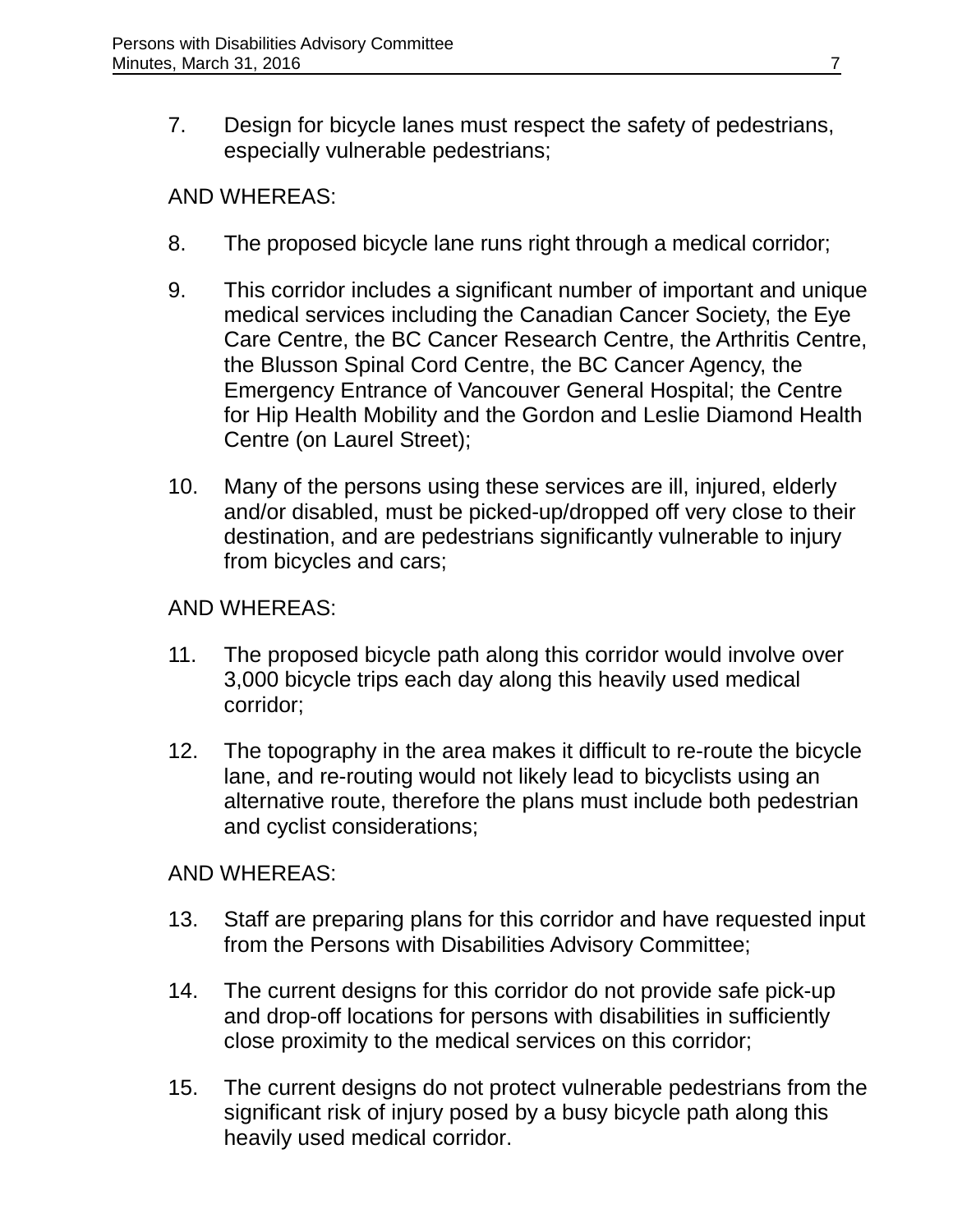7. Design for bicycle lanes must respect the safety of pedestrians, especially vulnerable pedestrians;

#### AND WHEREAS:

- 8. The proposed bicycle lane runs right through a medical corridor;
- 9. This corridor includes a significant number of important and unique medical services including the Canadian Cancer Society, the Eye Care Centre, the BC Cancer Research Centre, the Arthritis Centre, the Blusson Spinal Cord Centre, the BC Cancer Agency, the Emergency Entrance of Vancouver General Hospital; the Centre for Hip Health Mobility and the Gordon and Leslie Diamond Health Centre (on Laurel Street);
- 10. Many of the persons using these services are ill, injured, elderly and/or disabled, must be picked-up/dropped off very close to their destination, and are pedestrians significantly vulnerable to injury from bicycles and cars;

### AND WHEREAS:

- 11. The proposed bicycle path along this corridor would involve over 3,000 bicycle trips each day along this heavily used medical corridor;
- 12. The topography in the area makes it difficult to re-route the bicycle lane, and re-routing would not likely lead to bicyclists using an alternative route, therefore the plans must include both pedestrian and cyclist considerations;

#### AND WHEREAS:

- 13. Staff are preparing plans for this corridor and have requested input from the Persons with Disabilities Advisory Committee;
- 14. The current designs for this corridor do not provide safe pick-up and drop-off locations for persons with disabilities in sufficiently close proximity to the medical services on this corridor;
- 15. The current designs do not protect vulnerable pedestrians from the significant risk of injury posed by a busy bicycle path along this heavily used medical corridor.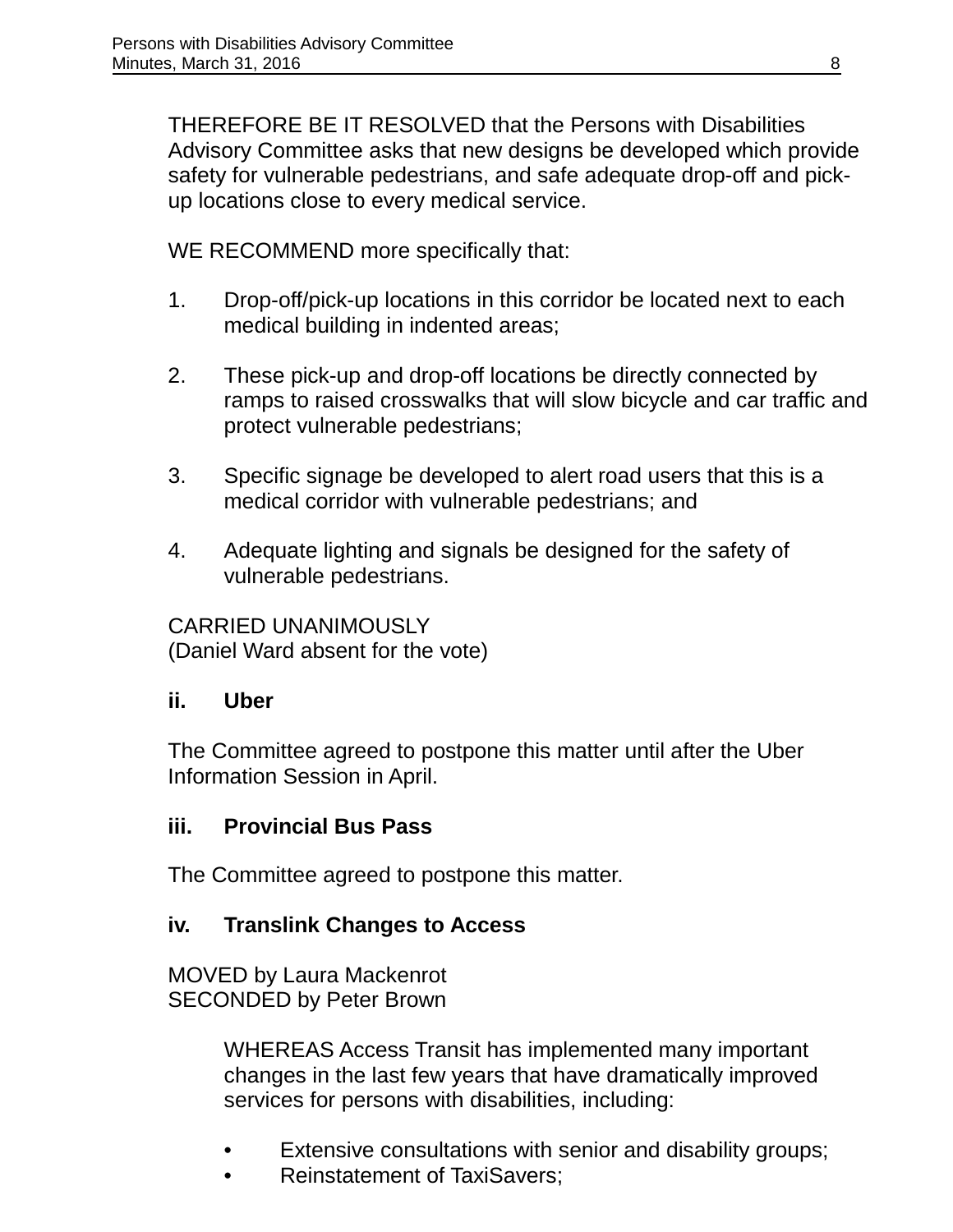THEREFORE BE IT RESOLVED that the Persons with Disabilities Advisory Committee asks that new designs be developed which provide safety for vulnerable pedestrians, and safe adequate drop-off and pickup locations close to every medical service.

WE RECOMMEND more specifically that:

- 1. Drop-off/pick-up locations in this corridor be located next to each medical building in indented areas;
- 2. These pick-up and drop-off locations be directly connected by ramps to raised crosswalks that will slow bicycle and car traffic and protect vulnerable pedestrians;
- 3. Specific signage be developed to alert road users that this is a medical corridor with vulnerable pedestrians; and
- 4. Adequate lighting and signals be designed for the safety of vulnerable pedestrians.

CARRIED UNANIMOUSLY (Daniel Ward absent for the vote)

## **ii. Uber**

The Committee agreed to postpone this matter until after the Uber Information Session in April.

## **iii. Provincial Bus Pass**

The Committee agreed to postpone this matter.

## **iv. Translink Changes to Access**

MOVED by Laura Mackenrot SECONDED by Peter Brown

> WHEREAS Access Transit has implemented many important changes in the last few years that have dramatically improved services for persons with disabilities, including:

- Extensive consultations with senior and disability groups;
- Reinstatement of TaxiSavers;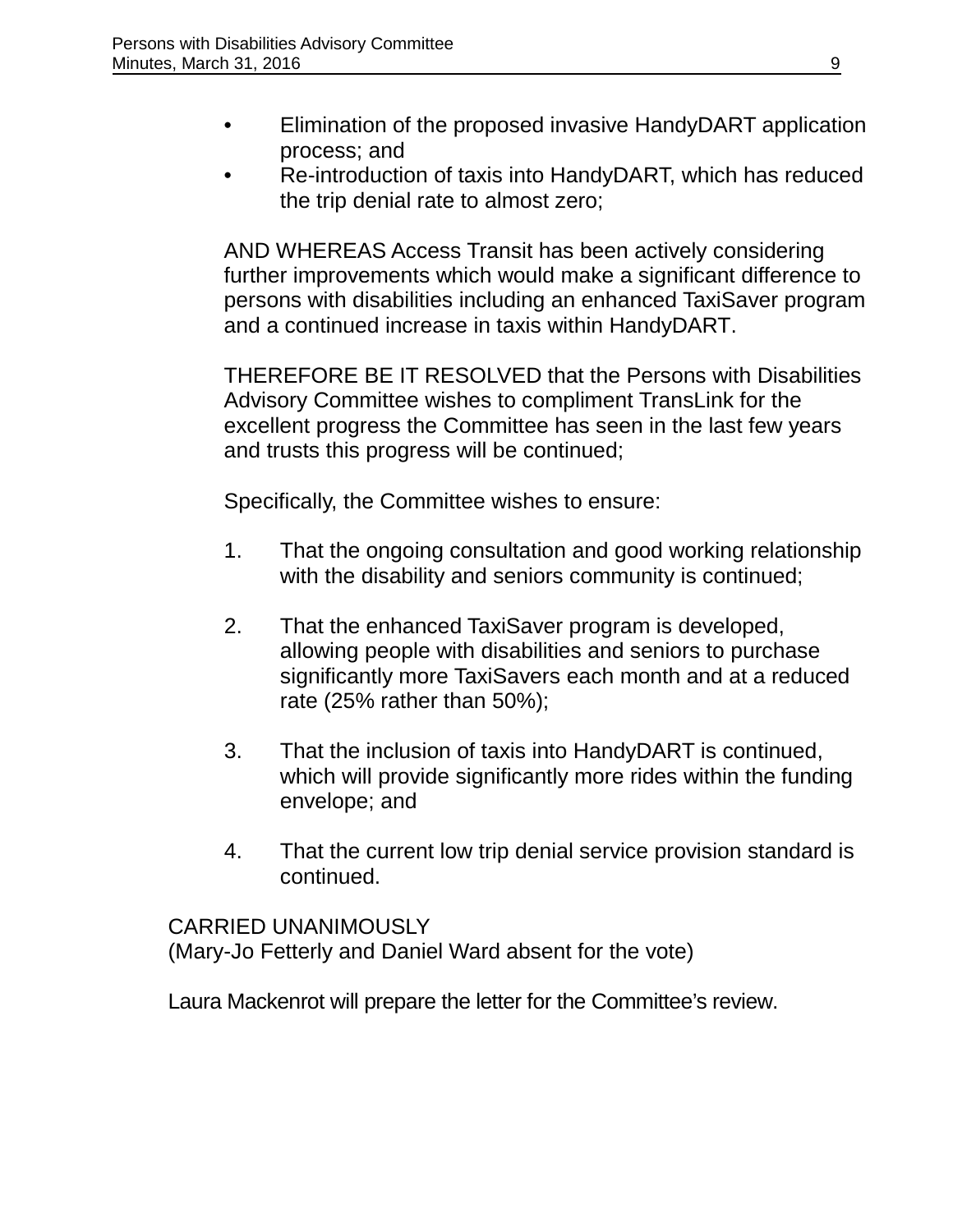- Elimination of the proposed invasive HandyDART application process; and
- Re-introduction of taxis into HandyDART, which has reduced the trip denial rate to almost zero;

AND WHEREAS Access Transit has been actively considering further improvements which would make a significant difference to persons with disabilities including an enhanced TaxiSaver program and a continued increase in taxis within HandyDART.

THEREFORE BE IT RESOLVED that the Persons with Disabilities Advisory Committee wishes to compliment TransLink for the excellent progress the Committee has seen in the last few years and trusts this progress will be continued;

Specifically, the Committee wishes to ensure:

- 1. That the ongoing consultation and good working relationship with the disability and seniors community is continued;
- 2. That the enhanced TaxiSaver program is developed, allowing people with disabilities and seniors to purchase significantly more TaxiSavers each month and at a reduced rate (25% rather than 50%);
- 3. That the inclusion of taxis into HandyDART is continued, which will provide significantly more rides within the funding envelope; and
- 4. That the current low trip denial service provision standard is continued.

#### CARRIED UNANIMOUSLY

(Mary-Jo Fetterly and Daniel Ward absent for the vote)

Laura Mackenrot will prepare the letter for the Committee's review.